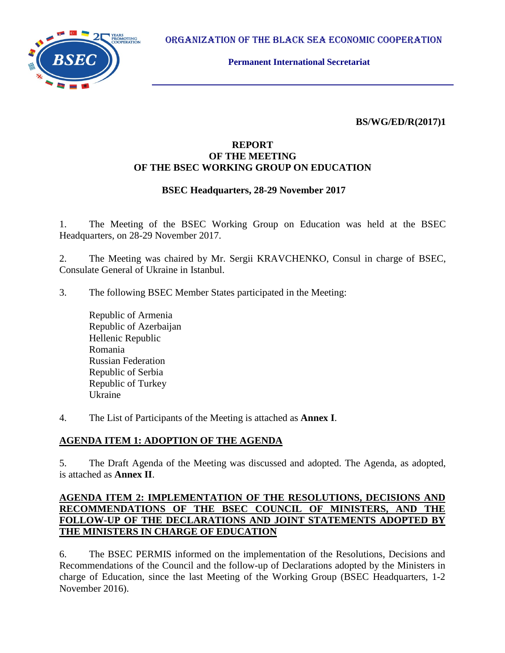ORGANIZATION OF THE BLACK SEA ECONOMIC COOPERATION



**Permanent International Secretariat**

**BS/WG/ED/R(2017)1**

## **REPORT OF THE MEETING OF THE BSEC WORKING GROUP ON EDUCATION**

## **BSEC Headquarters, 28-29 November 2017**

1. The Meeting of the BSEC Working Group on Education was held at the BSEC Headquarters, on 28-29 November 2017.

2. The Meeting was chaired by Mr. Sergii KRAVCHENKO, Consul in charge of BSEC, Consulate General of Ukraine in Istanbul.

3. The following BSEC Member States participated in the Meeting:

Republic of Armenia Republic of Azerbaijan Hellenic Republic Romania Russian Federation Republic of Serbia Republic of Turkey Ukraine

4. The List of Participants of the Meeting is attached as **Annex I**.

## **AGENDA ITEM 1: ADOPTION OF THE AGENDA**

5. The Draft Agenda of the Meeting was discussed and adopted. The Agenda, as adopted, is attached as **Annex II**.

## **AGENDA ITEM 2: IMPLEMENTATION OF THE RESOLUTIONS, DECISIONS AND RECOMMENDATIONS OF THE BSEC COUNCIL OF MINISTERS, AND THE FOLLOW-UP OF THE DECLARATIONS AND JOINT STATEMENTS ADOPTED BY THE MINISTERS IN CHARGE OF EDUCATION**

6. The BSEC PERMIS informed on the implementation of the Resolutions, Decisions and Recommendations of the Council and the follow-up of Declarations adopted by the Ministers in charge of Education, since the last Meeting of the Working Group (BSEC Headquarters, 1-2 November 2016).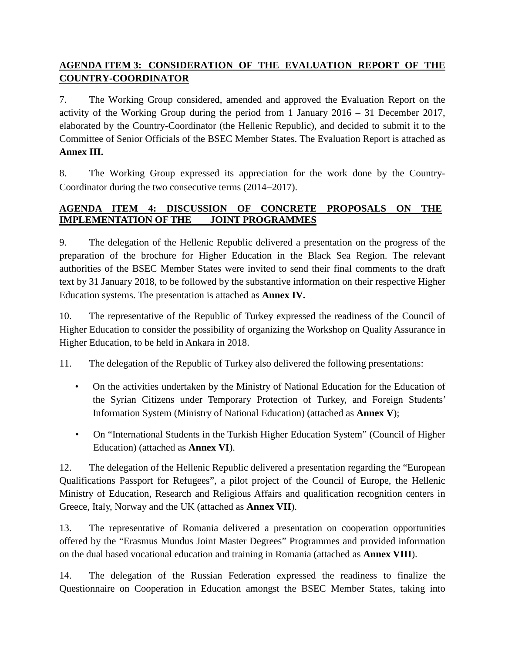# **AGENDA ITEM 3: CONSIDERATION OF THE EVALUATION REPORT OF THE COUNTRY-COORDINATOR**

7. The Working Group considered, amended and approved the Evaluation Report on the activity of the Working Group during the period from 1 January 2016 – 31 December 2017, elaborated by the Country-Coordinator (the Hellenic Republic), and decided to submit it to the Committee of Senior Officials of the BSEC Member States. The Evaluation Report is attached as **Annex III.**

8. The Working Group expressed its appreciation for the work done by the Country-Coordinator during the two consecutive terms (2014−2017).

## **AGENDA ITEM 4: DISCUSSION OF CONCRETE PROPOSALS ON THE IMPLEMENTATION OF THE JOINT PROGRAMMES**

9. The delegation of the Hellenic Republic delivered a presentation on the progress of the preparation of the brochure for Higher Education in the Black Sea Region. The relevant authorities of the BSEC Member States were invited to send their final comments to the draft text by 31 January 2018, to be followed by the substantive information on their respective Higher Education systems. The presentation is attached as **Annex IV.**

10. The representative of the Republic of Turkey expressed the readiness of the Council of Higher Education to consider the possibility of organizing the Workshop on Quality Assurance in Higher Education, to be held in Ankara in 2018.

11. The delegation of the Republic of Turkey also delivered the following presentations:

- On the activities undertaken by the Ministry of National Education for the Education of the Syrian Citizens under Temporary Protection of Turkey, and Foreign Students' Information System (Ministry of National Education) (attached as **Annex V**);
- On "International Students in the Turkish Higher Education System" (Council of Higher Education) (attached as **Annex VI**).

12. The delegation of the Hellenic Republic delivered a presentation regarding the "European Qualifications Passport for Refugees", a pilot project of the Council of Europe, the Hellenic Ministry of Education, Research and Religious Affairs and qualification recognition centers in Greece, Italy, Norway and the UK (attached as **Annex VII**).

13. The representative of Romania delivered a presentation on cooperation opportunities offered by the "Erasmus Mundus Joint Master Degrees" Programmes and provided information on the dual based vocational education and training in Romania (attached as **Annex VIII**).

14. The delegation of the Russian Federation expressed the readiness to finalize the Questionnaire on Cooperation in Education amongst the BSEC Member States, taking into